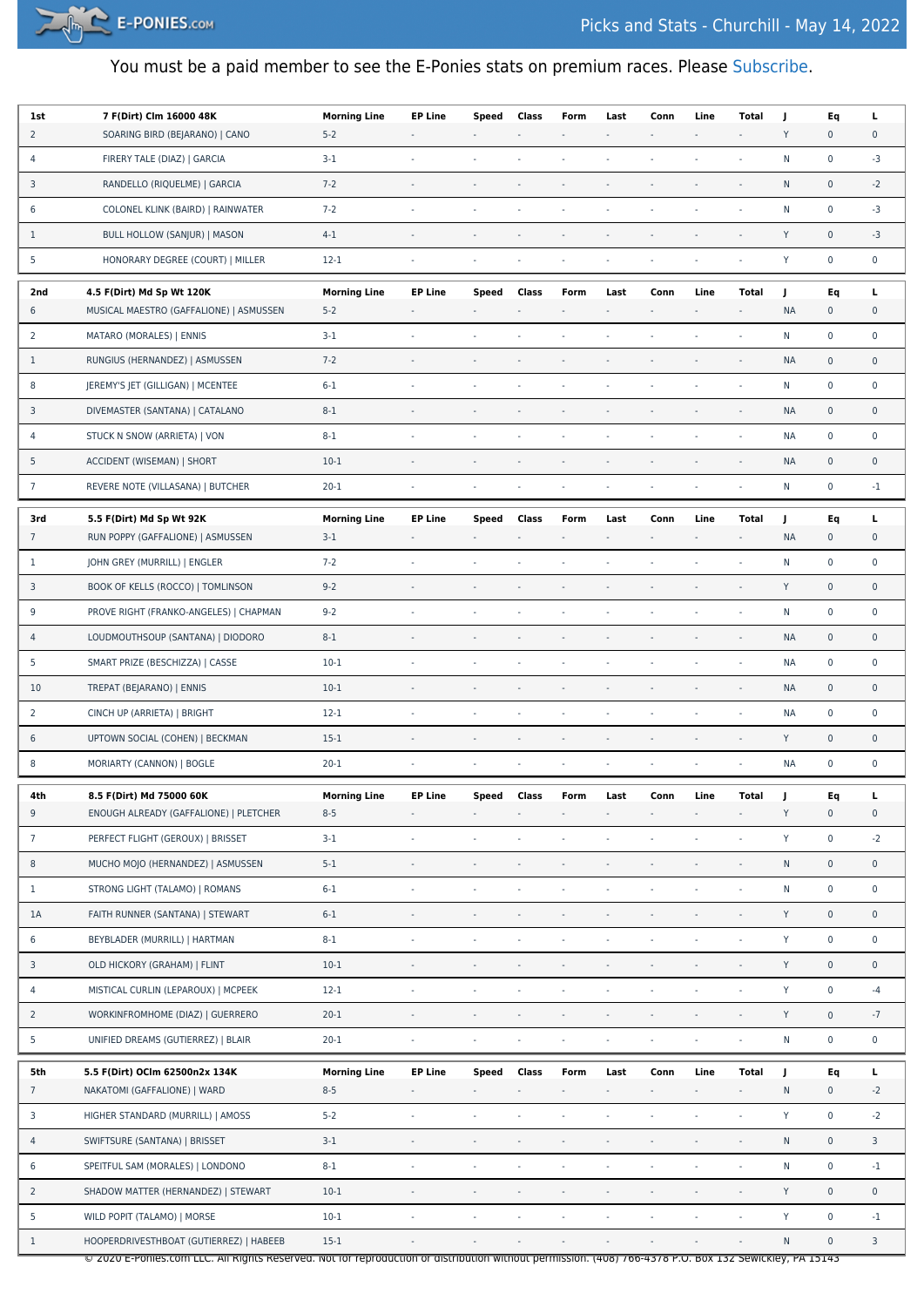

## You must be a paid member to see the E-Ponies stats on premium races. Please [Subscribe.](https://e-ponies.com/registration-and-subscription/)

| 1st            | 7 F(Dirt) Clm 16000 48K                                                                                                                                | <b>Morning Line</b> | <b>EP Line</b>              | Speed                    | Class                    | Form                     | Last           | Conn                     | Line                     | Total                    | J            | Eq                  | Ц                   |
|----------------|--------------------------------------------------------------------------------------------------------------------------------------------------------|---------------------|-----------------------------|--------------------------|--------------------------|--------------------------|----------------|--------------------------|--------------------------|--------------------------|--------------|---------------------|---------------------|
| $\overline{2}$ | SOARING BIRD (BEJARANO)   CANO                                                                                                                         | $5 - 2$             |                             |                          |                          |                          |                |                          |                          | ÷,                       | Y            | $\pmb{0}$           | 0                   |
| 4              | FIRERY TALE (DIAZ)   GARCIA                                                                                                                            | $3-1$               |                             |                          | $\sim$                   |                          | ٠              |                          |                          | $\sim$                   | N            | $\mathbf 0$         | -3                  |
| 3              | RANDELLO (RIQUELME)   GARCIA                                                                                                                           | $7 - 2$             |                             |                          |                          |                          |                |                          |                          | ÷,                       | N            | $\mathsf{O}\xspace$ | $-2$                |
| 6              | COLONEL KLINK (BAIRD)   RAINWATER                                                                                                                      | $7 - 2$             | $\bar{z}$                   | $\overline{\phantom{a}}$ | $\overline{\phantom{a}}$ |                          | $\bar{a}$      |                          |                          | ÷,                       | N            | $\pmb{0}$           | -3                  |
| $\mathbf{1}$   | BULL HOLLOW (SANJUR)   MASON                                                                                                                           | $4 - 1$             | $\sim$                      |                          |                          | $\overline{\phantom{a}}$ |                |                          | ä,                       | ÷,                       | Y            | $\pmb{0}$           | $-3$                |
| 5              | HONORARY DEGREE (COURT)   MILLER                                                                                                                       | $12 - 1$            | $\sim$                      | $\sim$                   | $\sim$                   | $\sim$                   | $\sim$         | $\overline{\phantom{a}}$ | ä,                       | ÷,                       | Y            | $\mathsf 0$         | $\mathbf 0$         |
| 2nd            | 4.5 F(Dirt) Md Sp Wt 120K                                                                                                                              | <b>Morning Line</b> | <b>EP Line</b>              | Speed                    | Class                    | Form                     | Last           | Conn                     | Line                     | <b>Total</b>             | J            | Eq                  | L                   |
| 6              | MUSICAL MAESTRO (GAFFALIONE)   ASMUSSEN                                                                                                                | $5 - 2$             |                             | $\overline{\phantom{a}}$ |                          | $\bar{\phantom{a}}$      | $\bar{a}$      | $\overline{\phantom{a}}$ | $\sim$                   | $\overline{\phantom{a}}$ | <b>NA</b>    | $\mathbf 0$         | 0                   |
| 2              | MATARO (MORALES)   ENNIS                                                                                                                               | $3-1$               |                             |                          | $\sim$                   |                          | $\bar{a}$      |                          | ä,                       |                          | N            | $\pmb{0}$           | $\mathbf 0$         |
| $\mathbf{1}$   | RUNGIUS (HERNANDEZ)   ASMUSSEN                                                                                                                         | $7 - 2$             |                             |                          |                          |                          |                |                          |                          | $\overline{\phantom{a}}$ | <b>NA</b>    | $\mathsf{O}\xspace$ | $\mathbf 0$         |
| 8              | JEREMY'S JET (GILLIGAN)   MCENTEE                                                                                                                      | $6 - 1$             | $\mathcal{L}_{\mathcal{A}}$ | $\overline{\phantom{a}}$ | $\blacksquare$           | ÷,                       | ä,             | ×,                       | ä,                       | ÷,                       | ${\sf N}$    | $\pmb{0}$           | $\mathbf 0$         |
| 3              | DIVEMASTER (SANTANA)   CATALANO                                                                                                                        | $8 - 1$             |                             |                          |                          |                          |                |                          |                          | $\sim$                   | <b>NA</b>    | $\pmb{0}$           | $\mathbf 0$         |
| 4              | STUCK N SNOW (ARRIETA)   VON                                                                                                                           | $8 - 1$             |                             |                          |                          |                          |                |                          |                          | $\sim$                   | <b>NA</b>    | $\mathbf 0$         | $\mathbf 0$         |
| 5              | ACCIDENT (WISEMAN)   SHORT                                                                                                                             | $10-1$              |                             | $\sim$                   | $\overline{\phantom{a}}$ |                          | ä,             |                          | ÷,                       | ÷,                       | <b>NA</b>    | $\pmb{0}$           | $\mathbf 0$         |
| $\overline{7}$ | REVERE NOTE (VILLASANA)   BUTCHER                                                                                                                      | $20 - 1$            | $\overline{\phantom{a}}$    | $\overline{\phantom{a}}$ | $\sim$                   | $\sim$                   | ä,             | ÷,                       | ÷,                       | ÷,                       | N            | $\pmb{0}$           | $-1$                |
| 3rd            | 5.5 F(Dirt) Md Sp Wt 92K                                                                                                                               | <b>Morning Line</b> | <b>EP Line</b>              | Speed                    | Class                    | Form                     | Last           | Conn                     | Line                     | Total                    | J            | Eq                  | Ц                   |
| $\overline{7}$ | RUN POPPY (GAFFALIONE)   ASMUSSEN                                                                                                                      | $3-1$               |                             |                          |                          |                          |                |                          |                          | $\blacksquare$           | <b>NA</b>    | $\mathsf{O}\xspace$ | 0                   |
| $\mathbf{1}$   | JOHN GREY (MURRILL)   ENGLER                                                                                                                           | $7 - 2$             | $\sim$                      |                          | $\sim$                   | $\sim$                   | ä,             | ÷,                       | ÷,                       | ÷,                       | N            | $\pmb{0}$           | $\mathbf 0$         |
| 3              | BOOK OF KELLS (ROCCO)   TOMLINSON                                                                                                                      | $9 - 2$             |                             |                          |                          |                          |                |                          |                          |                          | Y            | $\pmb{0}$           | $\mathbf 0$         |
| 9              | PROVE RIGHT (FRANKO-ANGELES)   CHAPMAN                                                                                                                 | $9 - 2$             |                             | $\sim$                   |                          |                          |                |                          |                          | ÷,                       | N            | $\pmb{0}$           | $\mathbf 0$         |
| 4              | LOUDMOUTHSOUP (SANTANA)   DIODORO                                                                                                                      | $8 - 1$             |                             |                          |                          |                          |                |                          |                          | $\blacksquare$           | <b>NA</b>    | $\pmb{0}$           | $\mathbf 0$         |
| 5              | SMART PRIZE (BESCHIZZA)   CASSE                                                                                                                        | $10-1$              | $\sim$                      |                          | $\sim$                   | $\sim$                   | $\bar{a}$      |                          | ä,                       | ä,                       | <b>NA</b>    | $\pmb{0}$           | $\mathbf 0$         |
| 10             | TREPAT (BEJARANO)   ENNIS                                                                                                                              | $10-1$              |                             |                          |                          |                          |                |                          |                          | $\sim$                   | <b>NA</b>    | $\mathsf{O}\xspace$ | $\mathbf 0$         |
| 2              | CINCH UP (ARRIETA)   BRIGHT                                                                                                                            | $12 - 1$            | $\sim$                      | $\overline{\phantom{a}}$ | $\overline{\phantom{a}}$ |                          | ÷,             |                          |                          | ä,                       | <b>NA</b>    | $\mathbf 0$         | $\mathbf 0$         |
| 6              | UPTOWN SOCIAL (COHEN)   BECKMAN                                                                                                                        | $15-1$              | $\sim$                      | $\overline{\phantom{a}}$ | $\overline{\phantom{a}}$ | $\sim$                   |                |                          |                          | ÷,                       | Y            | $\pmb{0}$           | $\mathsf{O}\xspace$ |
| 8              | MORIARTY (CANNON)   BOGLE                                                                                                                              | $20 - 1$            |                             |                          | $\overline{\phantom{a}}$ |                          |                |                          |                          |                          | <b>NA</b>    | $\pmb{0}$           | $\mathbf 0$         |
| 4th            | 8.5 F(Dirt) Md 75000 60K                                                                                                                               | <b>Morning Line</b> | <b>EP Line</b>              | Speed                    | Class                    | Form                     | Last           | Conn                     | Line                     | Total                    |              | Eq                  | L                   |
| $9\,$          | ENOUGH ALREADY (GAFFALIONE)   PLETCHER                                                                                                                 | $8 - 5$             |                             |                          |                          |                          |                |                          |                          | ÷,                       | Y            | $\pmb{0}$           | $\mathsf{O}\xspace$ |
| $\overline{7}$ | PERFECT FLIGHT (GEROUX)   BRISSET                                                                                                                      | $3-1$               |                             |                          |                          |                          |                |                          |                          | ä,                       | Y            | $\mathbf 0$         | $-2$                |
| 8              | MUCHO MOJO (HERNANDEZ)   ASMUSSEN                                                                                                                      | $5 - 1$             |                             |                          |                          |                          |                |                          |                          | ä,                       | ${\sf N}$    | $\pmb{0}$           | $\mathbf 0$         |
| $\mathbf{1}$   | STRONG LIGHT (TALAMO)   ROMANS                                                                                                                         | $6 - 1$             | $\mathcal{L}_{\mathcal{A}}$ | $\overline{\phantom{a}}$ |                          |                          |                |                          |                          | ÷,                       | ${\sf N}$    | $\pmb{0}$           | $\mathbf 0$         |
| 1A             | FAITH RUNNER (SANTANA)   STEWART                                                                                                                       | $6 - 1$             | $\overline{\phantom{a}}$    | $\overline{\phantom{a}}$ | $\overline{\phantom{a}}$ | $\overline{\phantom{a}}$ | $\blacksquare$ |                          |                          | ÷,                       | Y            | $\pmb{0}$           | $\mathsf{O}\xspace$ |
| 6              | BEYBLADER (MURRILL)   HARTMAN                                                                                                                          | $8 - 1$             | $\mathcal{L}_{\mathcal{A}}$ | $\sim$                   | ÷                        | ÷,                       | ä,             |                          |                          | ÷,                       | Y            | $\pmb{0}$           | $\mathsf 0$         |
| 3              | OLD HICKORY (GRAHAM)   FLINT                                                                                                                           | $10-1$              | $\overline{\phantom{a}}$    | $\overline{\phantom{a}}$ |                          |                          | $\blacksquare$ |                          | ÷,                       | $\overline{\phantom{a}}$ | Y            | $\mathsf 0$         | $\mathsf{O}\xspace$ |
| 4              | MISTICAL CURLIN (LEPAROUX)   MCPEEK                                                                                                                    | $12-1$              | $\omega$                    | $\overline{\phantom{a}}$ | $\omega$                 | $\omega$                 | ł,             | ä,                       | ä,                       | ÷,                       | Y            | $\pmb{0}$           | $-4$                |
| $\overline{2}$ | WORKINFROMHOME (DIAZ)   GUERRERO                                                                                                                       | $20 - 1$            | $\overline{\phantom{a}}$    | $\sim$                   |                          |                          |                |                          |                          | L,                       | Y            | $\pmb{0}$           | $-7$                |
| 5              | UNIFIED DREAMS (GUTIERREZ)   BLAIR                                                                                                                     | $20 - 1$            | $\omega$                    | $\sim$                   |                          | $\overline{\phantom{a}}$ |                |                          |                          | ÷.                       | $\mathsf{N}$ | $\mathbf 0$         | $\mathbf 0$         |
| 5th            | 5.5 F(Dirt) OCIm 62500n2x 134K                                                                                                                         | <b>Morning Line</b> | <b>EP Line</b>              | Speed                    | Class                    | Form                     | Last           | Conn                     | Line                     | <b>Total</b>             | J            | Eq                  | г                   |
| $\overline{7}$ | NAKATOMI (GAFFALIONE)   WARD                                                                                                                           | $8 - 5$             | $\overline{\phantom{a}}$    |                          |                          |                          | $\bar{a}$      |                          | $\overline{\phantom{a}}$ | $\overline{\phantom{a}}$ | ${\sf N}$    | $\mathbf 0$         | $-2$                |
| 3              | HIGHER STANDARD (MURRILL)   AMOSS                                                                                                                      | $5 - 2$             | $\sim$                      | $\sim$                   |                          | ÷,                       | ł,             |                          |                          | ÷,                       | Y            | $\pmb{0}$           | $-2$                |
| 4              | SWIFTSURE (SANTANA)   BRISSET                                                                                                                          | $3-1$               | ÷,                          | $\Box$                   | $\overline{\phantom{a}}$ | $\bar{a}$                | ÷,             | ä,                       | ÷,                       | $\overline{\phantom{a}}$ | ${\sf N}$    | $\pmb{0}$           | 3                   |
| 6              | SPEITFUL SAM (MORALES)   LONDONO                                                                                                                       | $8 - 1$             | $\overline{\phantom{a}}$    | $\overline{\phantom{a}}$ |                          | $\overline{\phantom{a}}$ |                |                          |                          | $\overline{\phantom{a}}$ | ${\sf N}$    | $\pmb{0}$           | $-1$                |
| $\overline{2}$ | SHADOW MATTER (HERNANDEZ)   STEWART                                                                                                                    | $10-1$              | $\sim$                      |                          |                          |                          |                |                          |                          | ÷,                       | Y            | $\mathsf 0$         | $\mathbf 0$         |
| 5              | WILD POPIT (TALAMO)   MORSE                                                                                                                            | $10-1$              | $\sim$                      | $\sim$                   |                          |                          | $\bar{a}$      |                          | ÷,                       | ÷,                       | Y            | $\pmb{0}$           | $-1$                |
| $\mathbf{1}$   | HOOPERDRIVESTHBOAT (GUTIERREZ)   HABEEB                                                                                                                | $15 - 1$            |                             |                          |                          |                          |                |                          |                          |                          | ${\sf N}$    | $\pmb{0}$           | 3                   |
|                | © 2020 E-Ponies.com LLC. All Rights Reserved. Not for reproduction or distribution without permission. (408) 766-4378 P.O. Box 132 Sewickley, PA 15143 |                     |                             |                          |                          |                          |                |                          |                          |                          |              |                     |                     |